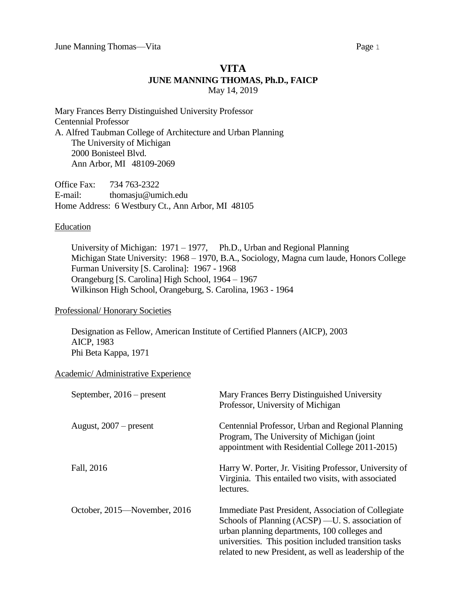# **VITA JUNE MANNING THOMAS, Ph.D., FAICP** May 14, 2019

Mary Frances Berry Distinguished University Professor Centennial Professor A. Alfred Taubman College of Architecture and Urban Planning The University of Michigan 2000 Bonisteel Blvd. Ann Arbor, MI 48109-2069

Office Fax: 734 763-2322 E-mail: thomasju@umich.edu Home Address: 6 Westbury Ct., Ann Arbor, MI 48105

#### **Education**

University of Michigan: 1971 – 1977, Ph.D., Urban and Regional Planning Michigan State University: 1968 – 1970, B.A., Sociology, Magna cum laude, Honors College Furman University [S. Carolina]: 1967 - 1968 Orangeburg [S. Carolina] High School, 1964 – 1967 Wilkinson High School, Orangeburg, S. Carolina, 1963 - 1964

### Professional/ Honorary Societies

Designation as Fellow, American Institute of Certified Planners (AICP), 2003 AICP, 1983 Phi Beta Kappa, 1971

### Academic/ Administrative Experience

| September, $2016$ – present  | Mary Frances Berry Distinguished University<br>Professor, University of Michigan                                                                                                                                                                                           |
|------------------------------|----------------------------------------------------------------------------------------------------------------------------------------------------------------------------------------------------------------------------------------------------------------------------|
| August, $2007$ – present     | Centennial Professor, Urban and Regional Planning<br>Program, The University of Michigan (joint)<br>appointment with Residential College 2011-2015)                                                                                                                        |
| Fall, 2016                   | Harry W. Porter, Jr. Visiting Professor, University of<br>Virginia. This entailed two visits, with associated<br>lectures.                                                                                                                                                 |
| October, 2015—November, 2016 | Immediate Past President, Association of Collegiate<br>Schools of Planning (ACSP) — U.S. association of<br>urban planning departments, 100 colleges and<br>universities. This position included transition tasks<br>related to new President, as well as leadership of the |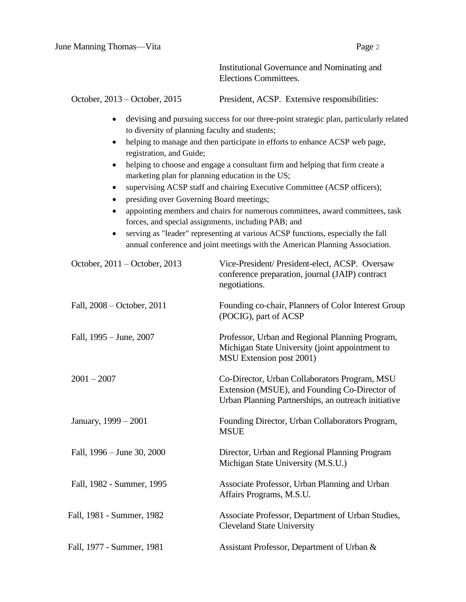|                                                                                                                                                                                                                                                                                                                              | Institutional Governance and Nominating and<br>Elections Committees.                                                                                                                                                                                                                                                                                                                                                                                                                                                                                                                   |
|------------------------------------------------------------------------------------------------------------------------------------------------------------------------------------------------------------------------------------------------------------------------------------------------------------------------------|----------------------------------------------------------------------------------------------------------------------------------------------------------------------------------------------------------------------------------------------------------------------------------------------------------------------------------------------------------------------------------------------------------------------------------------------------------------------------------------------------------------------------------------------------------------------------------------|
| October, 2013 – October, 2015                                                                                                                                                                                                                                                                                                | President, ACSP. Extensive responsibilities:                                                                                                                                                                                                                                                                                                                                                                                                                                                                                                                                           |
| $\bullet$<br>to diversity of planning faculty and students;<br>$\bullet$<br>registration, and Guide;<br>$\bullet$<br>marketing plan for planning education in the US;<br>$\bullet$<br>presiding over Governing Board meetings;<br>$\bullet$<br>$\bullet$<br>forces, and special assignments, including PAB; and<br>$\bullet$ | devising and pursuing success for our three-point strategic plan, particularly related<br>helping to manage and then participate in efforts to enhance ACSP web page,<br>helping to choose and engage a consultant firm and helping that firm create a<br>supervising ACSP staff and chairing Executive Committee (ACSP officers);<br>appointing members and chairs for numerous committees, award committees, task<br>serving as "leader" representing at various ACSP functions, especially the fall<br>annual conference and joint meetings with the American Planning Association. |
| October, 2011 - October, 2013                                                                                                                                                                                                                                                                                                | Vice-President/ President-elect, ACSP. Oversaw<br>conference preparation, journal (JAIP) contract<br>negotiations.                                                                                                                                                                                                                                                                                                                                                                                                                                                                     |
| Fall, 2008 – October, 2011                                                                                                                                                                                                                                                                                                   | Founding co-chair, Planners of Color Interest Group<br>(POCIG), part of ACSP                                                                                                                                                                                                                                                                                                                                                                                                                                                                                                           |
| Fall, 1995 – June, 2007                                                                                                                                                                                                                                                                                                      | Professor, Urban and Regional Planning Program,<br>Michigan State University (joint appointment to<br>MSU Extension post 2001)                                                                                                                                                                                                                                                                                                                                                                                                                                                         |
| $2001 - 2007$                                                                                                                                                                                                                                                                                                                | Co-Director, Urban Collaborators Program, MSU<br>Extension (MSUE), and Founding Co-Director of<br>Urban Planning Partnerships, an outreach initiative                                                                                                                                                                                                                                                                                                                                                                                                                                  |
| January, 1999 – 2001                                                                                                                                                                                                                                                                                                         | Founding Director, Urban Collaborators Program,<br><b>MSUE</b>                                                                                                                                                                                                                                                                                                                                                                                                                                                                                                                         |
| Fall, 1996 – June 30, 2000                                                                                                                                                                                                                                                                                                   | Director, Urban and Regional Planning Program<br>Michigan State University (M.S.U.)                                                                                                                                                                                                                                                                                                                                                                                                                                                                                                    |
| Fall, 1982 - Summer, 1995                                                                                                                                                                                                                                                                                                    | Associate Professor, Urban Planning and Urban<br>Affairs Programs, M.S.U.                                                                                                                                                                                                                                                                                                                                                                                                                                                                                                              |
| Fall, 1981 - Summer, 1982                                                                                                                                                                                                                                                                                                    | Associate Professor, Department of Urban Studies,<br><b>Cleveland State University</b>                                                                                                                                                                                                                                                                                                                                                                                                                                                                                                 |
| Fall, 1977 - Summer, 1981                                                                                                                                                                                                                                                                                                    | Assistant Professor, Department of Urban &                                                                                                                                                                                                                                                                                                                                                                                                                                                                                                                                             |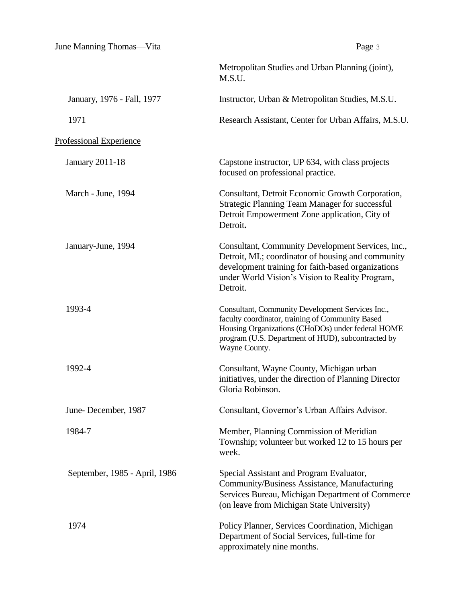June Manning Thomas—Vita Page 3

|                                | Metropolitan Studies and Urban Planning (joint),<br>M.S.U.                                                                                                                                                                       |
|--------------------------------|----------------------------------------------------------------------------------------------------------------------------------------------------------------------------------------------------------------------------------|
| January, 1976 - Fall, 1977     | Instructor, Urban & Metropolitan Studies, M.S.U.                                                                                                                                                                                 |
| 1971                           | Research Assistant, Center for Urban Affairs, M.S.U.                                                                                                                                                                             |
| <b>Professional Experience</b> |                                                                                                                                                                                                                                  |
| <b>January 2011-18</b>         | Capstone instructor, UP 634, with class projects<br>focused on professional practice.                                                                                                                                            |
| March - June, 1994             | Consultant, Detroit Economic Growth Corporation,<br><b>Strategic Planning Team Manager for successful</b><br>Detroit Empowerment Zone application, City of<br>Detroit.                                                           |
| January-June, 1994             | Consultant, Community Development Services, Inc.,<br>Detroit, MI.; coordinator of housing and community<br>development training for faith-based organizations<br>under World Vision's Vision to Reality Program,<br>Detroit.     |
| 1993-4                         | Consultant, Community Development Services Inc.,<br>faculty coordinator, training of Community Based<br>Housing Organizations (CHoDOs) under federal HOME<br>program (U.S. Department of HUD), subcontracted by<br>Wayne County. |
| 1992-4                         | Consultant, Wayne County, Michigan urban<br>initiatives, under the direction of Planning Director<br>Gloria Robinson.                                                                                                            |
| June-December, 1987            | Consultant, Governor's Urban Affairs Advisor.                                                                                                                                                                                    |
| 1984-7                         | Member, Planning Commission of Meridian<br>Township; volunteer but worked 12 to 15 hours per<br>week.                                                                                                                            |
| September, 1985 - April, 1986  | Special Assistant and Program Evaluator,<br>Community/Business Assistance, Manufacturing<br>Services Bureau, Michigan Department of Commerce<br>(on leave from Michigan State University)                                        |
| 1974                           | Policy Planner, Services Coordination, Michigan<br>Department of Social Services, full-time for<br>approximately nine months.                                                                                                    |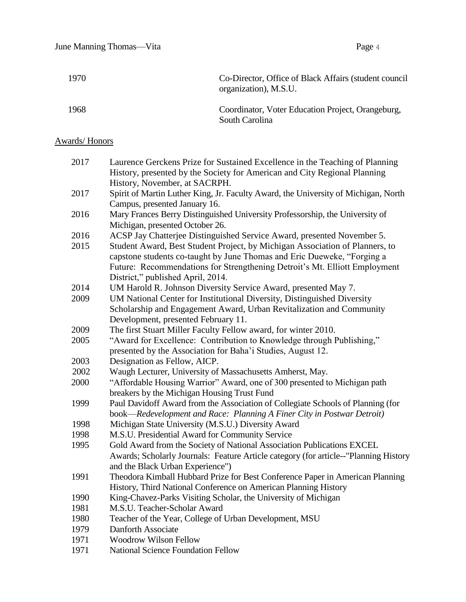| 1970 | Co-Director, Office of Black Affairs (student council)<br>organization), M.S.U. |
|------|---------------------------------------------------------------------------------|
| 1968 | Coordinator, Voter Education Project, Orangeburg,<br>South Carolina             |

# Awards/ Honors

| 2017 | Laurence Gerckens Prize for Sustained Excellence in the Teaching of Planning         |
|------|--------------------------------------------------------------------------------------|
|      | History, presented by the Society for American and City Regional Planning            |
|      | History, November, at SACRPH.                                                        |
| 2017 | Spirit of Martin Luther King, Jr. Faculty Award, the University of Michigan, North   |
|      | Campus, presented January 16.                                                        |
| 2016 | Mary Frances Berry Distinguished University Professorship, the University of         |
|      | Michigan, presented October 26.                                                      |
| 2016 | ACSP Jay Chatterjee Distinguished Service Award, presented November 5.               |
| 2015 | Student Award, Best Student Project, by Michigan Association of Planners, to         |
|      | capstone students co-taught by June Thomas and Eric Dueweke, "Forging a              |
|      | Future: Recommendations for Strengthening Detroit's Mt. Elliott Employment           |
|      | District," published April, 2014.                                                    |
| 2014 | UM Harold R. Johnson Diversity Service Award, presented May 7.                       |
| 2009 | UM National Center for Institutional Diversity, Distinguished Diversity              |
|      | Scholarship and Engagement Award, Urban Revitalization and Community                 |
|      | Development, presented February 11.                                                  |
| 2009 | The first Stuart Miller Faculty Fellow award, for winter 2010.                       |
| 2005 | "Award for Excellence: Contribution to Knowledge through Publishing,"                |
|      | presented by the Association for Baha'i Studies, August 12.                          |
| 2003 | Designation as Fellow, AICP.                                                         |
| 2002 | Waugh Lecturer, University of Massachusetts Amherst, May.                            |
| 2000 | "Affordable Housing Warrior" Award, one of 300 presented to Michigan path            |
|      | breakers by the Michigan Housing Trust Fund                                          |
| 1999 | Paul Davidoff Award from the Association of Collegiate Schools of Planning (for      |
|      | book—Redevelopment and Race: Planning A Finer City in Postwar Detroit)               |
| 1998 | Michigan State University (M.S.U.) Diversity Award                                   |
| 1998 | M.S.U. Presidential Award for Community Service                                      |
| 1995 | Gold Award from the Society of National Association Publications EXCEL               |
|      | Awards; Scholarly Journals: Feature Article category (for article--"Planning History |
|      | and the Black Urban Experience")                                                     |
| 1991 | Theodora Kimball Hubbard Prize for Best Conference Paper in American Planning        |
|      | History, Third National Conference on American Planning History                      |
| 1990 | King-Chavez-Parks Visiting Scholar, the University of Michigan                       |
| 1981 | M.S.U. Teacher-Scholar Award                                                         |
| 1980 | Teacher of the Year, College of Urban Development, MSU                               |
| 1979 | Danforth Associate                                                                   |
| 1971 | <b>Woodrow Wilson Fellow</b>                                                         |
|      |                                                                                      |

1971 National Science Foundation Fellow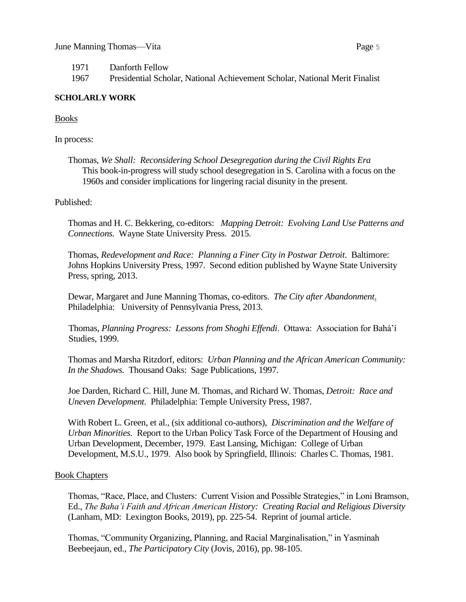1971 Danforth Fellow

1967 Presidential Scholar, National Achievement Scholar, National Merit Finalist

## **SCHOLARLY WORK**

Books

In process:

Thomas, *We Shall: Reconsidering School Desegregation during the Civil Rights Era* This book-in-progress will study school desegregation in S. Carolina with a focus on the 1960s and consider implications for lingering racial disunity in the present.

Published:

Thomas and H. C. Bekkering, co-editors: *Mapping Detroit: Evolving Land Use Patterns and Connections.* Wayne State University Press. 2015.

Thomas, *Redevelopment and Race: Planning a Finer City in Postwar Detroit*. Baltimore: Johns Hopkins University Press, 1997. Second edition published by Wayne State University Press, spring, 2013.

Dewar, Margaret and June Manning Thomas, co-editors. *The City after Abandonment*. Philadelphia: University of Pennsylvania Press, 2013.

Thomas, *Planning Progress: Lessons from Shoghi Effendi*. Ottawa: Association for Bahá'í Studies, 1999.

Thomas and Marsha Ritzdorf, editors: *Urban Planning and the African American Community: In the Shadows.* Thousand Oaks: Sage Publications, 1997.

Joe Darden, Richard C. Hill, June M. Thomas, and Richard W. Thomas, *Detroit: Race and Uneven Development.* Philadelphia: Temple University Press, 1987.

With Robert L. Green, et al., (six additional co-authors), *Discrimination and the Welfare of Urban Minorities.* Report to the Urban Policy Task Force of the Department of Housing and Urban Development, December, 1979. East Lansing, Michigan: College of Urban Development, M.S.U., 1979. Also book by Springfield, Illinois: Charles C. Thomas, 1981.

# Book Chapters

Thomas, "Race, Place, and Clusters: Current Vision and Possible Strategies," in Loni Bramson, Ed., *The Baha'i Faith and African American History: Creating Racial and Religious Diversity*  (Lanham, MD: Lexington Books, 2019), pp. 225-54. Reprint of journal article.

Thomas, "Community Organizing, Planning, and Racial Marginalisation," in Yasminah Beebeejaun, ed., *The Participatory City* (Jovis, 2016), pp. 98-105.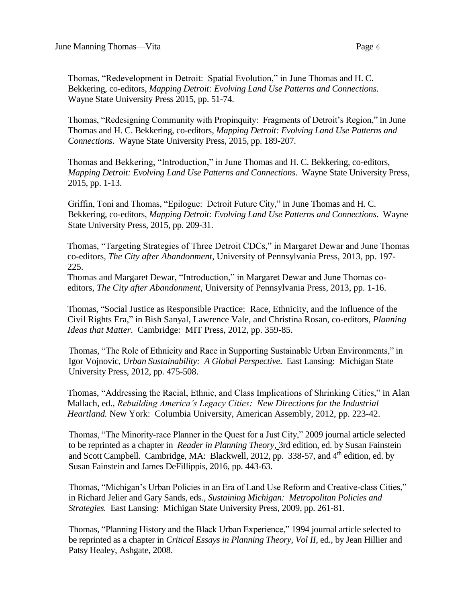Thomas, "Redevelopment in Detroit: Spatial Evolution," in June Thomas and H. C. Bekkering, co-editors, *Mapping Detroit: Evolving Land Use Patterns and Connections*. Wayne State University Press 2015, pp. 51-74.

Thomas, "Redesigning Community with Propinquity: Fragments of Detroit's Region," in June Thomas and H. C. Bekkering, co-editors, *Mapping Detroit: Evolving Land Use Patterns and Connections*. Wayne State University Press, 2015, pp. 189-207.

Thomas and Bekkering, "Introduction," in June Thomas and H. C. Bekkering, co-editors, *Mapping Detroit: Evolving Land Use Patterns and Connections*. Wayne State University Press, 2015, pp. 1-13.

Griffin, Toni and Thomas, "Epilogue: Detroit Future City," in June Thomas and H. C. Bekkering, co-editors, *Mapping Detroit: Evolving Land Use Patterns and Connections*. Wayne State University Press, 2015, pp. 209-31.

Thomas, "Targeting Strategies of Three Detroit CDCs," in Margaret Dewar and June Thomas co-editors, *The City after Abandonment*, University of Pennsylvania Press, 2013, pp. 197- 225.

Thomas and Margaret Dewar, "Introduction," in Margaret Dewar and June Thomas coeditors, *The City after Abandonment*, University of Pennsylvania Press, 2013, pp. 1-16.

Thomas, "Social Justice as Responsible Practice: Race, Ethnicity, and the Influence of the Civil Rights Era," in Bish Sanyal, Lawrence Vale, and Christina Rosan, co-editors, *Planning Ideas that Matter*. Cambridge: MIT Press, 2012, pp. 359-85.

Thomas, "The Role of Ethnicity and Race in Supporting Sustainable Urban Environments," in Igor Vojnovic, *Urban Sustainability: A Global Perspective*. East Lansing: Michigan State University Press, 2012, pp. 475-508.

Thomas, "Addressing the Racial, Ethnic, and Class Implications of Shrinking Cities," in Alan Mallach, ed., *Rebuilding America's Legacy Cities: New Directions for the Industrial Heartland.* New York: Columbia University, American Assembly, 2012, pp. 223-42.

Thomas, "The Minority-race Planner in the Quest for a Just City," 2009 journal article selected to be reprinted as a chapter in *Reader in Planning Theory,* 3rd edition, ed. by Susan Fainstein and Scott Campbell. Cambridge, MA: Blackwell, 2012, pp. 338-57, and 4<sup>th</sup> edition, ed. by Susan Fainstein and James DeFillippis, 2016, pp. 443-63.

Thomas, "Michigan's Urban Policies in an Era of Land Use Reform and Creative-class Cities," in Richard Jelier and Gary Sands, eds., *Sustaining Michigan: Metropolitan Policies and Strategies.* East Lansing: Michigan State University Press, 2009, pp. 261-81.

Thomas, "Planning History and the Black Urban Experience," 1994 journal article selected to be reprinted as a chapter in *Critical Essays in Planning Theory, Vol II*, ed., by Jean Hillier and Patsy Healey, Ashgate, 2008.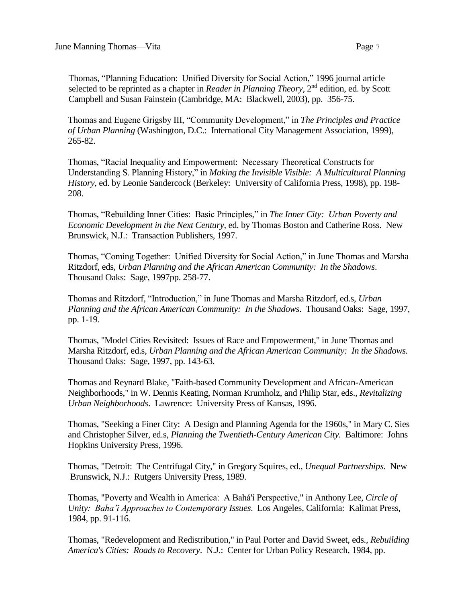Thomas, "Planning Education: Unified Diversity for Social Action," 1996 journal article selected to be reprinted as a chapter in *Reader in Planning Theory*, 2<sup>nd</sup> edition, ed. by Scott Campbell and Susan Fainstein (Cambridge, MA: Blackwell, 2003), pp. 356-75.

Thomas and Eugene Grigsby III, "Community Development," in *The Principles and Practice of Urban Planning* (Washington, D.C.: International City Management Association, 1999), 265-82.

Thomas, "Racial Inequality and Empowerment: Necessary Theoretical Constructs for Understanding S. Planning History," in *Making the Invisible Visible: A Multicultural Planning History*, ed. by Leonie Sandercock (Berkeley: University of California Press, 1998), pp. 198- 208.

Thomas, "Rebuilding Inner Cities: Basic Principles," in *The Inner City: Urban Poverty and Economic Development in the Next Century*, ed. by Thomas Boston and Catherine Ross. New Brunswick, N.J.: Transaction Publishers, 1997.

Thomas, "Coming Together: Unified Diversity for Social Action," in June Thomas and Marsha Ritzdorf, eds, *Urban Planning and the African American Community: In the Shadows*. Thousand Oaks: Sage, 1997pp. 258-77.

Thomas and Ritzdorf, "Introduction," in June Thomas and Marsha Ritzdorf, ed.s, *Urban Planning and the African American Community: In the Shadows*. Thousand Oaks: Sage, 1997, pp. 1-19.

Thomas, "Model Cities Revisited: Issues of Race and Empowerment," in June Thomas and Marsha Ritzdorf, ed.s, *Urban Planning and the African American Community: In the Shadows.*  Thousand Oaks: Sage, 1997, pp. 143-63.

Thomas and Reynard Blake, "Faith-based Community Development and African-American Neighborhoods," in W. Dennis Keating, Norman Krumholz, and Philip Star, eds., *Revitalizing Urban Neighborhoods*. Lawrence: University Press of Kansas, 1996.

Thomas, "Seeking a Finer City: A Design and Planning Agenda for the 1960s," in Mary C. Sies and Christopher Silver*,* ed.s*, Planning the Twentieth-Century American City.* Baltimore: Johns Hopkins University Press, 1996.

Thomas, "Detroit: The Centrifugal City," in Gregory Squires, ed., *Unequal Partnerships.* New Brunswick, N.J.: Rutgers University Press, 1989.

Thomas, "Poverty and Wealth in America: A Bahá'í Perspective," in Anthony Lee, *Circle of Unity: Baha'i Approaches to Contemporary Issues*. Los Angeles, California: Kalimat Press, 1984, pp. 91-116.

Thomas, "Redevelopment and Redistribution," in Paul Porter and David Sweet, eds., *Rebuilding America's Cities: Roads to Recovery*. N.J.: Center for Urban Policy Research, 1984, pp.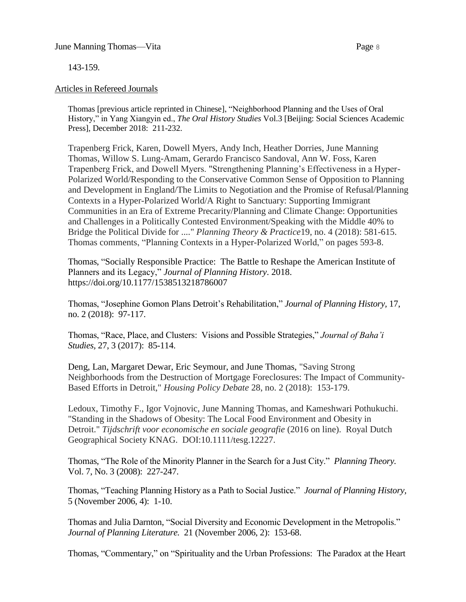143-159.

## Articles in Refereed Journals

Thomas [previous article reprinted in Chinese], "Neighborhood Planning and the Uses of Oral History," in Yang Xiangyin ed., *The Oral History Studies* Vol.3 [Beijing: Social Sciences Academic Press], December 2018: 211-232.

Trapenberg Frick, Karen, Dowell Myers, Andy Inch, Heather Dorries, June Manning Thomas, Willow S. Lung-Amam, Gerardo Francisco Sandoval, Ann W. Foss, Karen Trapenberg Frick, and Dowell Myers. "Strengthening Planning's Effectiveness in a Hyper-Polarized World/Responding to the Conservative Common Sense of Opposition to Planning and Development in England/The Limits to Negotiation and the Promise of Refusal/Planning Contexts in a Hyper-Polarized World/A Right to Sanctuary: Supporting Immigrant Communities in an Era of Extreme Precarity/Planning and Climate Change: Opportunities and Challenges in a Politically Contested Environment/Speaking with the Middle 40% to Bridge the Political Divide for ...." *Planning Theory & Practice*19, no. 4 (2018): 581-615. Thomas comments, "Planning Contexts in a Hyper-Polarized World," on pages 593-8.

Thomas, "Socially Responsible Practice: The Battle to Reshape the American Institute of Planners and its Legacy," *Journal of Planning History*. 2018. https://doi.org/10.1177/1538513218786007

Thomas, "Josephine Gomon Plans Detroit's Rehabilitation," *Journal of Planning History,* 17, no. 2 (2018): 97-117.

Thomas, "Race, Place, and Clusters: Visions and Possible Strategies," *Journal of Baha'i Studies,* 27, 3 (2017): 85-114.

Deng, Lan, Margaret Dewar, Eric Seymour, and June Thomas, "Saving Strong Neighborhoods from the Destruction of Mortgage Foreclosures: The Impact of Community-Based Efforts in Detroit," *Housing Policy Debate* 28, no. 2 (2018): 153-179.

Ledoux, Timothy F., Igor Vojnovic, June Manning Thomas, and Kameshwari Pothukuchi. "Standing in the Shadows of Obesity: The Local Food Environment and Obesity in Detroit." *Tijdschrift voor economische en sociale geografie* (2016 on line). Royal Dutch Geographical Society KNAG. DOI:10.1111/tesg.12227.

Thomas, "The Role of the Minority Planner in the Search for a Just City." *Planning Theory.* Vol. 7, No. 3 (2008): 227-247.

Thomas, "Teaching Planning History as a Path to Social Justice." *Journal of Planning History,*  5 (November 2006, 4): 1-10.

Thomas and Julia Darnton, "Social Diversity and Economic Development in the Metropolis." *Journal of Planning Literature.* 21 (November 2006, 2): 153-68.

Thomas, "Commentary," on "Spirituality and the Urban Professions: The Paradox at the Heart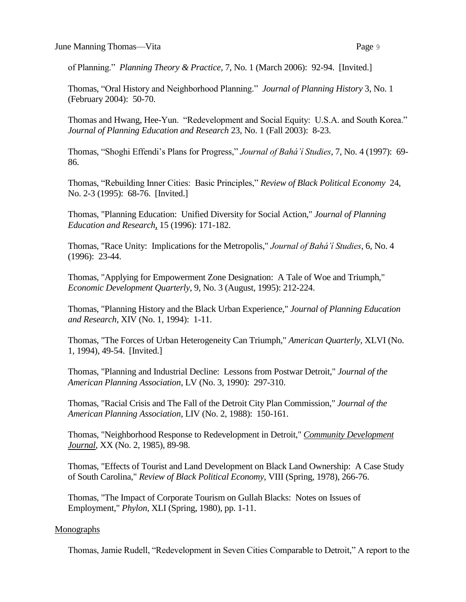of Planning." *Planning Theory & Practice,* 7, No. 1 (March 2006): 92-94. [Invited.]

Thomas, "Oral History and Neighborhood Planning." *Journal of Planning History* 3, No. 1 (February 2004): 50-70.

Thomas and Hwang, Hee-Yun. "Redevelopment and Social Equity: U.S.A. and South Korea." *Journal of Planning Education and Research* 23, No. 1 (Fall 2003): 8-23.

Thomas, "Shoghi Effendi's Plans for Progress," *Journal of Bahá'í Studies*, 7, No. 4 (1997): 69- 86.

Thomas, "Rebuilding Inner Cities: Basic Principles," *Review of Black Political Economy* 24, No. 2-3 (1995): 68-76. [Invited.]

Thomas, "Planning Education: Unified Diversity for Social Action," *Journal of Planning Education and Research*, 15 (1996): 171-182.

Thomas, "Race Unity: Implications for the Metropolis," *Journal of Bahá'í Studies*, 6, No. 4 (1996): 23-44.

Thomas, "Applying for Empowerment Zone Designation: A Tale of Woe and Triumph," *Economic Development Quarterly*, 9, No. 3 (August, 1995): 212-224.

Thomas, "Planning History and the Black Urban Experience," *Journal of Planning Education and Research*, XIV (No. 1, 1994): 1-11.

Thomas, "The Forces of Urban Heterogeneity Can Triumph," *American Quarterly*, XLVI (No. 1, 1994), 49-54. [Invited.]

Thomas, "Planning and Industrial Decline: Lessons from Postwar Detroit," *Journal of the American Planning Association*, LV (No. 3, 1990): 297-310.

Thomas, "Racial Crisis and The Fall of the Detroit City Plan Commission," *Journal of the American Planning Association*, LIV (No. 2, 1988): 150-161.

Thomas, "Neighborhood Response to Redevelopment in Detroit," *Community Development Journal*, XX (No. 2, 1985), 89-98.

Thomas, "Effects of Tourist and Land Development on Black Land Ownership: A Case Study of South Carolina," *Review of Black Political Economy*, VIII (Spring, 1978), 266-76.

Thomas, "The Impact of Corporate Tourism on Gullah Blacks: Notes on Issues of Employment," *Phylon*, XLI (Spring, 1980), pp. 1-11.

# **Monographs**

Thomas, Jamie Rudell, "Redevelopment in Seven Cities Comparable to Detroit," A report to the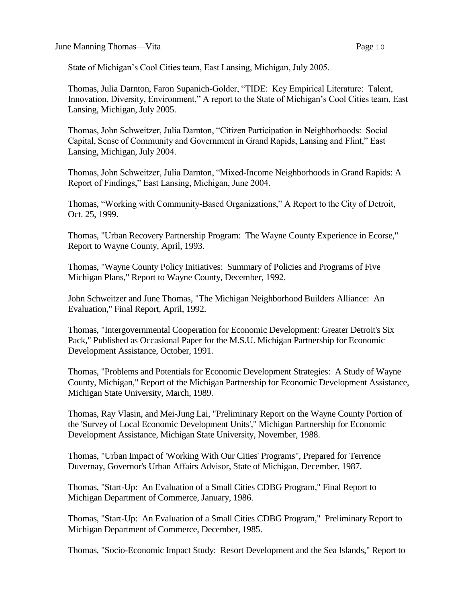June Manning Thomas—Vita **Page 10** 

State of Michigan's Cool Cities team, East Lansing, Michigan, July 2005.

Thomas, Julia Darnton, Faron Supanich-Golder, "TIDE: Key Empirical Literature: Talent, Innovation, Diversity, Environment," A report to the State of Michigan's Cool Cities team, East Lansing, Michigan, July 2005.

Thomas, John Schweitzer, Julia Darnton, "Citizen Participation in Neighborhoods: Social Capital, Sense of Community and Government in Grand Rapids, Lansing and Flint," East Lansing, Michigan, July 2004.

Thomas, John Schweitzer, Julia Darnton, "Mixed-Income Neighborhoods in Grand Rapids: A Report of Findings," East Lansing, Michigan, June 2004.

Thomas, "Working with Community-Based Organizations," A Report to the City of Detroit, Oct. 25, 1999.

Thomas, "Urban Recovery Partnership Program: The Wayne County Experience in Ecorse," Report to Wayne County, April, 1993.

Thomas, "Wayne County Policy Initiatives: Summary of Policies and Programs of Five Michigan Plans," Report to Wayne County, December, 1992.

John Schweitzer and June Thomas, "The Michigan Neighborhood Builders Alliance: An Evaluation," Final Report, April, 1992.

Thomas, "Intergovernmental Cooperation for Economic Development: Greater Detroit's Six Pack," Published as Occasional Paper for the M.S.U. Michigan Partnership for Economic Development Assistance, October, 1991.

Thomas, "Problems and Potentials for Economic Development Strategies: A Study of Wayne County, Michigan," Report of the Michigan Partnership for Economic Development Assistance, Michigan State University, March, 1989.

Thomas, Ray Vlasin, and Mei-Jung Lai, "Preliminary Report on the Wayne County Portion of the 'Survey of Local Economic Development Units'," Michigan Partnership for Economic Development Assistance, Michigan State University, November, 1988.

Thomas, "Urban Impact of 'Working With Our Cities' Programs", Prepared for Terrence Duvernay, Governor's Urban Affairs Advisor, State of Michigan, December, 1987.

Thomas, "Start-Up: An Evaluation of a Small Cities CDBG Program," Final Report to Michigan Department of Commerce, January, 1986.

Thomas, "Start-Up: An Evaluation of a Small Cities CDBG Program," Preliminary Report to Michigan Department of Commerce, December, 1985.

Thomas, "Socio-Economic Impact Study: Resort Development and the Sea Islands," Report to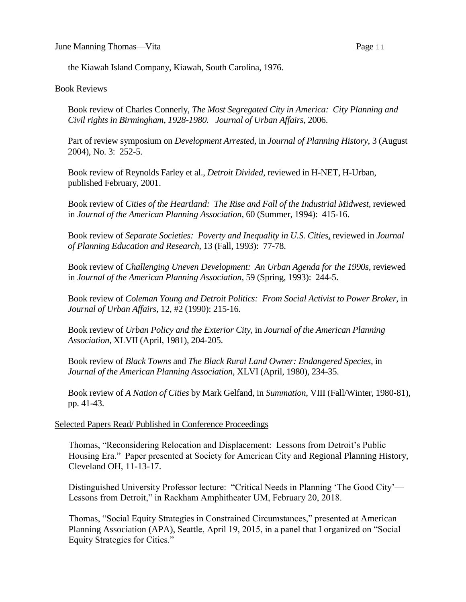the Kiawah Island Company, Kiawah, South Carolina, 1976.

### Book Reviews

Book review of Charles Connerly, *The Most Segregated City in America: City Planning and Civil rights in Birmingham, 1928-1980. Journal of Urban Affairs*, 2006.

Part of review symposium on *Development Arrested*, in *Journal of Planning History*, 3 (August 2004), No. 3: 252-5.

Book review of Reynolds Farley et al., *Detroit Divided,* reviewed in H-NET, H-Urban, published February, 2001.

Book review of *Cities of the Heartland: The Rise and Fall of the Industrial Midwest,* reviewed in *Journal of the American Planning Association,* 60 (Summer, 1994): 415-16.

Book review of *Separate Societies: Poverty and Inequality in U.S. Cities*, reviewed in *Journal of Planning Education and Research*, 13 (Fall, 1993): 77-78.

Book review of *Challenging Uneven Development: An Urban Agenda for the 1990s*, reviewed in *Journal of the American Planning Association*, 59 (Spring, 1993): 244-5.

Book review of *Coleman Young and Detroit Politics: From Social Activist to Power Broker,* in *Journal of Urban Affairs,* 12, #2 (1990): 215-16.

Book review of *Urban Policy and the Exterior City,* in *Journal of the American Planning Association*, XLVII (April, 1981), 204-205.

Book review of *Black Towns* and *The Black Rural Land Owner: Endangered Species,* in *Journal of the American Planning Association*, XLVI (April, 1980), 234-35.

Book review of *A Nation of Cities* by Mark Gelfand, in *Summation,* VIII (Fall/Winter, 1980-81), pp. 41-43.

### Selected Papers Read/ Published in Conference Proceedings

Thomas, "Reconsidering Relocation and Displacement: Lessons from Detroit's Public Housing Era." Paper presented at Society for American City and Regional Planning History, Cleveland OH, 11-13-17.

Distinguished University Professor lecture: "Critical Needs in Planning 'The Good City'— Lessons from Detroit," in Rackham Amphitheater UM, February 20, 2018.

Thomas, "Social Equity Strategies in Constrained Circumstances," presented at American Planning Association (APA), Seattle, April 19, 2015, in a panel that I organized on "Social Equity Strategies for Cities."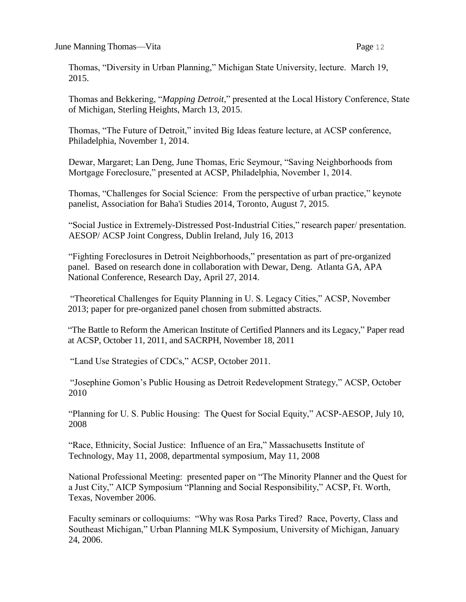Thomas, "Diversity in Urban Planning," Michigan State University, lecture. March 19, 2015.

Thomas and Bekkering, "*Mapping Detroit*," presented at the Local History Conference, State of Michigan, Sterling Heights, March 13, 2015.

Thomas, "The Future of Detroit," invited Big Ideas feature lecture, at ACSP conference, Philadelphia, November 1, 2014.

Dewar, Margaret; Lan Deng, June Thomas, Eric Seymour, "Saving Neighborhoods from Mortgage Foreclosure," presented at ACSP, Philadelphia, November 1, 2014.

Thomas, "Challenges for Social Science: From the perspective of urban practice," keynote panelist, Association for Baha'i Studies 2014, Toronto, August 7, 2015.

"Social Justice in Extremely-Distressed Post-Industrial Cities," research paper/ presentation. AESOP/ ACSP Joint Congress, Dublin Ireland, July 16, 2013

"Fighting Foreclosures in Detroit Neighborhoods," presentation as part of pre-organized panel. Based on research done in collaboration with Dewar, Deng. Atlanta GA, APA National Conference, Research Day, April 27, 2014.

"Theoretical Challenges for Equity Planning in U. S. Legacy Cities," ACSP, November 2013; paper for pre-organized panel chosen from submitted abstracts.

"The Battle to Reform the American Institute of Certified Planners and its Legacy," Paper read at ACSP, October 11, 2011, and SACRPH, November 18, 2011

"Land Use Strategies of CDCs," ACSP, October 2011.

"Josephine Gomon's Public Housing as Detroit Redevelopment Strategy," ACSP, October 2010

"Planning for U. S. Public Housing: The Quest for Social Equity," ACSP-AESOP, July 10, 2008

"Race, Ethnicity, Social Justice: Influence of an Era," Massachusetts Institute of Technology, May 11, 2008, departmental symposium, May 11, 2008

National Professional Meeting: presented paper on "The Minority Planner and the Quest for a Just City," AICP Symposium "Planning and Social Responsibility," ACSP, Ft. Worth, Texas, November 2006.

Faculty seminars or colloquiums: "Why was Rosa Parks Tired? Race, Poverty, Class and Southeast Michigan," Urban Planning MLK Symposium, University of Michigan, January 24, 2006.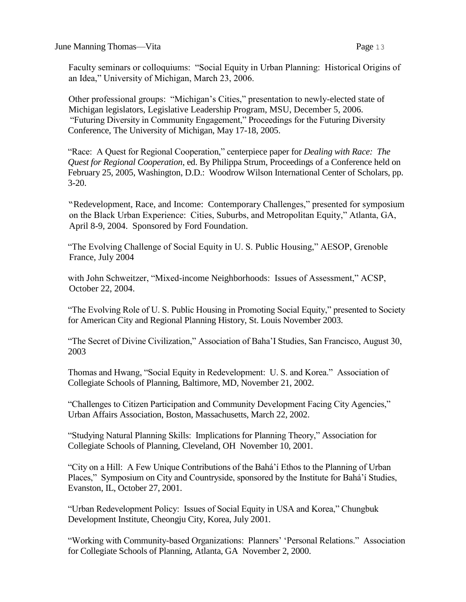Faculty seminars or colloquiums: "Social Equity in Urban Planning: Historical Origins of an Idea," University of Michigan, March 23, 2006.

Other professional groups: "Michigan's Cities," presentation to newly-elected state of Michigan legislators, Legislative Leadership Program, MSU, December 5, 2006. "Futuring Diversity in Community Engagement," Proceedings for the Futuring Diversity Conference, The University of Michigan, May 17-18, 2005.

"Race: A Quest for Regional Cooperation," centerpiece paper for *Dealing with Race: The Quest for Regional Cooperation*, ed. By Philippa Strum, Proceedings of a Conference held on February 25, 2005, Washington, D.D.: Woodrow Wilson International Center of Scholars, pp. 3-20.

"Redevelopment, Race, and Income: Contemporary Challenges," presented for symposium on the Black Urban Experience: Cities, Suburbs, and Metropolitan Equity," Atlanta, GA, April 8-9, 2004. Sponsored by Ford Foundation.

"The Evolving Challenge of Social Equity in U. S. Public Housing," AESOP, Grenoble France, July 2004

with John Schweitzer, "Mixed-income Neighborhoods: Issues of Assessment," ACSP, October 22, 2004.

"The Evolving Role of U. S. Public Housing in Promoting Social Equity," presented to Society for American City and Regional Planning History, St. Louis November 2003.

"The Secret of Divine Civilization," Association of Baha'I Studies, San Francisco, August 30, 2003

Thomas and Hwang, "Social Equity in Redevelopment: U. S. and Korea." Association of Collegiate Schools of Planning, Baltimore, MD, November 21, 2002.

"Challenges to Citizen Participation and Community Development Facing City Agencies," Urban Affairs Association, Boston, Massachusetts, March 22, 2002.

"Studying Natural Planning Skills: Implications for Planning Theory," Association for Collegiate Schools of Planning, Cleveland, OH November 10, 2001.

"City on a Hill: A Few Unique Contributions of the Bahá'í Ethos to the Planning of Urban Places," Symposium on City and Countryside, sponsored by the Institute for Bahá'í Studies, Evanston, IL, October 27, 2001.

"Urban Redevelopment Policy: Issues of Social Equity in USA and Korea," Chungbuk Development Institute, Cheongju City, Korea, July 2001.

"Working with Community-based Organizations: Planners' 'Personal Relations." Association for Collegiate Schools of Planning, Atlanta, GA November 2, 2000.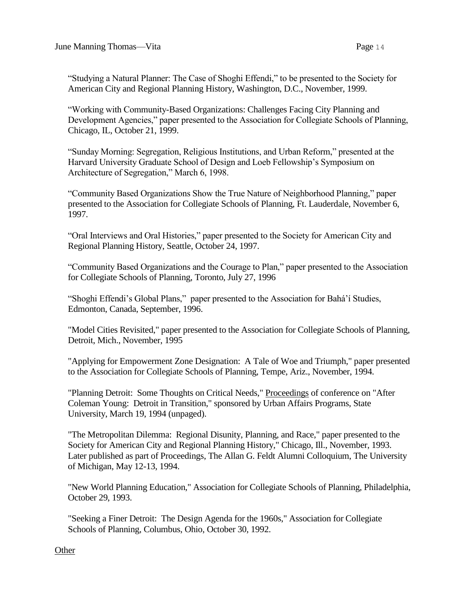"Studying a Natural Planner: The Case of Shoghi Effendi," to be presented to the Society for American City and Regional Planning History, Washington, D.C., November, 1999.

"Working with Community-Based Organizations: Challenges Facing City Planning and Development Agencies," paper presented to the Association for Collegiate Schools of Planning, Chicago, IL, October 21, 1999.

"Sunday Morning: Segregation, Religious Institutions, and Urban Reform," presented at the Harvard University Graduate School of Design and Loeb Fellowship's Symposium on Architecture of Segregation," March 6, 1998.

"Community Based Organizations Show the True Nature of Neighborhood Planning," paper presented to the Association for Collegiate Schools of Planning, Ft. Lauderdale, November 6, 1997.

"Oral Interviews and Oral Histories," paper presented to the Society for American City and Regional Planning History, Seattle, October 24, 1997.

"Community Based Organizations and the Courage to Plan," paper presented to the Association for Collegiate Schools of Planning, Toronto, July 27, 1996

"Shoghi Effendi's Global Plans," paper presented to the Association for Bahá'í Studies, Edmonton, Canada, September, 1996.

"Model Cities Revisited," paper presented to the Association for Collegiate Schools of Planning, Detroit, Mich., November, 1995

"Applying for Empowerment Zone Designation: A Tale of Woe and Triumph," paper presented to the Association for Collegiate Schools of Planning, Tempe, Ariz., November, 1994.

"Planning Detroit: Some Thoughts on Critical Needs," Proceedings of conference on "After Coleman Young: Detroit in Transition," sponsored by Urban Affairs Programs, State University, March 19, 1994 (unpaged).

"The Metropolitan Dilemma: Regional Disunity, Planning, and Race," paper presented to the Society for American City and Regional Planning History," Chicago, Ill., November, 1993. Later published as part of Proceedings, The Allan G. Feldt Alumni Colloquium, The University of Michigan, May 12-13, 1994.

"New World Planning Education," Association for Collegiate Schools of Planning, Philadelphia, October 29, 1993.

"Seeking a Finer Detroit: The Design Agenda for the 1960s," Association for Collegiate Schools of Planning, Columbus, Ohio, October 30, 1992.

**Other**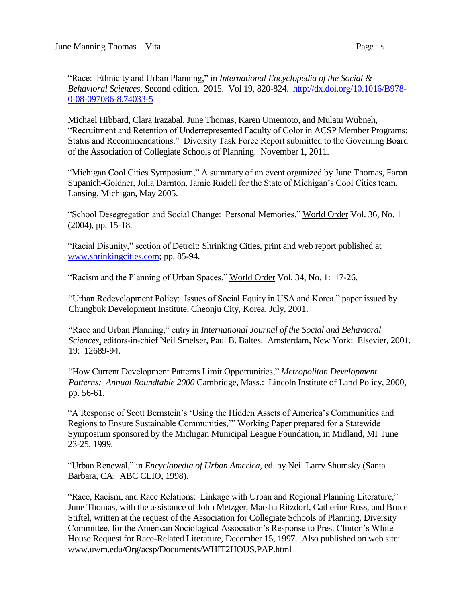"Race: Ethnicity and Urban Planning," in *International Encyclopedia of the Social & Behavioral Sciences,* Second edition. 2015. Vol 19, 820-824. [http://dx.doi.org/10.1016/B978-](http://dx.doi.org/10.1016/B978-0-08-097086-8.74033-5) [0-08-097086-8.74033-5](http://dx.doi.org/10.1016/B978-0-08-097086-8.74033-5)

Michael Hibbard, Clara Irazabal, June Thomas, Karen Umemoto, and Mulatu Wubneh, "Recruitment and Retention of Underrepresented Faculty of Color in ACSP Member Programs: Status and Recommendations." Diversity Task Force Report submitted to the Governing Board of the Association of Collegiate Schools of Planning. November 1, 2011.

"Michigan Cool Cities Symposium," A summary of an event organized by June Thomas, Faron Supanich-Goldner, Julia Darnton, Jamie Rudell for the State of Michigan's Cool Cities team, Lansing, Michigan, May 2005.

"School Desegregation and Social Change: Personal Memories," World Order Vol. 36, No. 1 (2004), pp. 15-18.

"Racial Disunity," section of Detroit: Shrinking Cities, print and web report published at [www.shrinkingcities.com;](http://www.shrinkingcities.com/) pp. 85-94.

"Racism and the Planning of Urban Spaces," World Order Vol. 34, No. 1: 17-26.

"Urban Redevelopment Policy: Issues of Social Equity in USA and Korea," paper issued by Chungbuk Development Institute, Cheonju City, Korea, July, 2001.

"Race and Urban Planning," entry in *International Journal of the Social and Behavioral Sciences*, editors-in-chief Neil Smelser, Paul B. Baltes. Amsterdam, New York: Elsevier, 2001. 19: 12689-94.

"How Current Development Patterns Limit Opportunities," *Metropolitan Development Patterns: Annual Roundtable 2000* Cambridge, Mass.: Lincoln Institute of Land Policy, 2000, pp. 56-61.

"A Response of Scott Bernstein's 'Using the Hidden Assets of America's Communities and Regions to Ensure Sustainable Communities,'" Working Paper prepared for a Statewide Symposium sponsored by the Michigan Municipal League Foundation, in Midland, MI June 23-25, 1999.

"Urban Renewal," in *Encyclopedia of Urban America*, ed. by Neil Larry Shumsky (Santa Barbara, CA: ABC CLIO, 1998).

"Race, Racism, and Race Relations: Linkage with Urban and Regional Planning Literature," June Thomas, with the assistance of John Metzger, Marsha Ritzdorf, Catherine Ross, and Bruce Stiftel, written at the request of the Association for Collegiate Schools of Planning, Diversity Committee, for the American Sociological Association's Response to Pres. Clinton's White House Request for Race-Related Literature, December 15, 1997. Also published on web site: www.uwm.edu/Org/acsp/Documents/WHIT2HOUS.PAP.html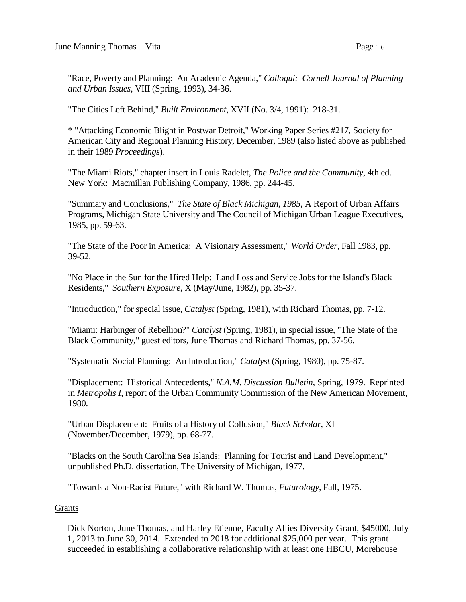"Race, Poverty and Planning: An Academic Agenda," *Colloqui: Cornell Journal of Planning and Urban Issues*, VIII (Spring, 1993), 34-36.

"The Cities Left Behind," *Built Environment*, XVII (No. 3/4, 1991): 218-31.

\* "Attacking Economic Blight in Postwar Detroit," Working Paper Series #217, Society for American City and Regional Planning History, December, 1989 (also listed above as published in their 1989 *Proceedings*).

"The Miami Riots," chapter insert in Louis Radelet, *The Police and the Community*, 4th ed. New York: Macmillan Publishing Company, 1986, pp. 244-45.

"Summary and Conclusions," *The State of Black Michigan, 1985*, A Report of Urban Affairs Programs, Michigan State University and The Council of Michigan Urban League Executives, 1985, pp. 59-63.

"The State of the Poor in America: A Visionary Assessment," *World Order*, Fall 1983, pp. 39-52.

"No Place in the Sun for the Hired Help: Land Loss and Service Jobs for the Island's Black Residents," *Southern Exposure*, X (May/June, 1982), pp. 35-37.

"Introduction," for special issue, *Catalyst* (Spring, 1981), with Richard Thomas, pp. 7-12.

"Miami: Harbinger of Rebellion?" *Catalyst* (Spring, 1981), in special issue, "The State of the Black Community," guest editors, June Thomas and Richard Thomas, pp. 37-56.

"Systematic Social Planning: An Introduction," *Catalyst* (Spring, 1980), pp. 75-87.

"Displacement: Historical Antecedents," *N.A.M. Discussion Bulletin,* Spring, 1979. Reprinted in *Metropolis I*, report of the Urban Community Commission of the New American Movement, 1980.

"Urban Displacement: Fruits of a History of Collusion," *Black Scholar*, XI (November/December, 1979), pp. 68-77.

"Blacks on the South Carolina Sea Islands: Planning for Tourist and Land Development," unpublished Ph.D. dissertation, The University of Michigan, 1977.

"Towards a Non-Racist Future," with Richard W. Thomas, *Futurology*, Fall, 1975.

Grants

Dick Norton, June Thomas, and Harley Etienne, Faculty Allies Diversity Grant, \$45000, July 1, 2013 to June 30, 2014. Extended to 2018 for additional \$25,000 per year. This grant succeeded in establishing a collaborative relationship with at least one HBCU, Morehouse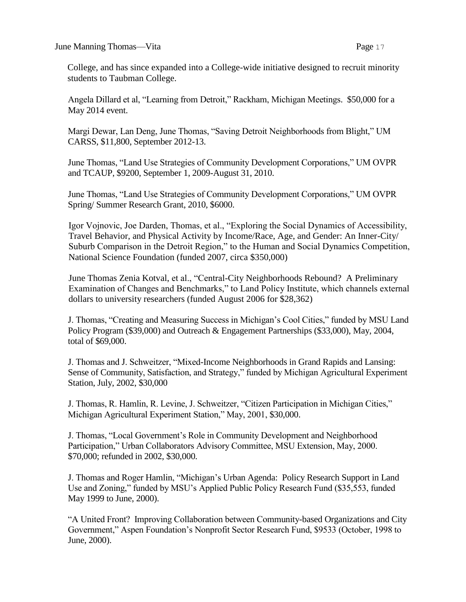College, and has since expanded into a College-wide initiative designed to recruit minority students to Taubman College.

Angela Dillard et al, "Learning from Detroit," Rackham, Michigan Meetings. \$50,000 for a May 2014 event.

Margi Dewar, Lan Deng, June Thomas, "Saving Detroit Neighborhoods from Blight," UM CARSS, \$11,800, September 2012-13.

June Thomas, "Land Use Strategies of Community Development Corporations," UM OVPR and TCAUP, \$9200, September 1, 2009-August 31, 2010.

June Thomas, "Land Use Strategies of Community Development Corporations," UM OVPR Spring/ Summer Research Grant, 2010, \$6000.

Igor Vojnovic, Joe Darden, Thomas, et al., "Exploring the Social Dynamics of Accessibility, Travel Behavior, and Physical Activity by Income/Race, Age, and Gender: An Inner-City/ Suburb Comparison in the Detroit Region," to the Human and Social Dynamics Competition, National Science Foundation (funded 2007, circa \$350,000)

June Thomas Zenia Kotval, et al., "Central-City Neighborhoods Rebound? A Preliminary Examination of Changes and Benchmarks," to Land Policy Institute, which channels external dollars to university researchers (funded August 2006 for \$28,362)

J. Thomas, "Creating and Measuring Success in Michigan's Cool Cities," funded by MSU Land Policy Program (\$39,000) and Outreach & Engagement Partnerships (\$33,000), May, 2004, total of \$69,000.

J. Thomas and J. Schweitzer, "Mixed-Income Neighborhoods in Grand Rapids and Lansing: Sense of Community, Satisfaction, and Strategy," funded by Michigan Agricultural Experiment Station, July, 2002, \$30,000

J. Thomas, R. Hamlin, R. Levine, J. Schweitzer, "Citizen Participation in Michigan Cities," Michigan Agricultural Experiment Station," May, 2001, \$30,000.

J. Thomas, "Local Government's Role in Community Development and Neighborhood Participation," Urban Collaborators Advisory Committee, MSU Extension, May, 2000. \$70,000; refunded in 2002, \$30,000.

J. Thomas and Roger Hamlin, "Michigan's Urban Agenda: Policy Research Support in Land Use and Zoning," funded by MSU's Applied Public Policy Research Fund (\$35,553, funded May 1999 to June, 2000).

"A United Front? Improving Collaboration between Community-based Organizations and City Government," Aspen Foundation's Nonprofit Sector Research Fund, \$9533 (October, 1998 to June, 2000).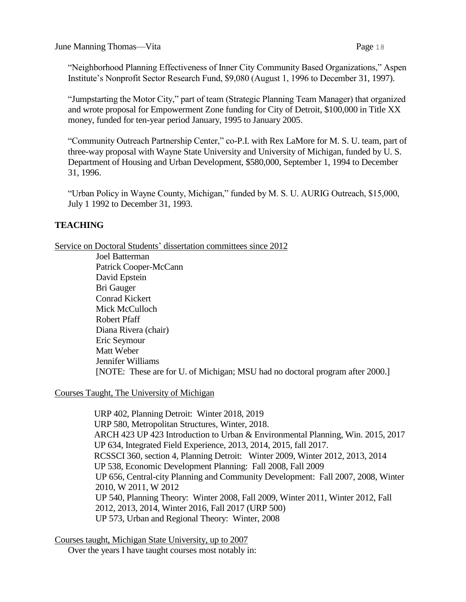"Neighborhood Planning Effectiveness of Inner City Community Based Organizations," Aspen Institute's Nonprofit Sector Research Fund, \$9,080 (August 1, 1996 to December 31, 1997).

"Jumpstarting the Motor City," part of team (Strategic Planning Team Manager) that organized and wrote proposal for Empowerment Zone funding for City of Detroit, \$100,000 in Title XX money, funded for ten-year period January, 1995 to January 2005.

"Community Outreach Partnership Center," co-P.I. with Rex LaMore for M. S. U. team, part of three-way proposal with Wayne State University and University of Michigan, funded by U. S. Department of Housing and Urban Development, \$580,000, September 1, 1994 to December 31, 1996.

"Urban Policy in Wayne County, Michigan," funded by M. S. U. AURIG Outreach, \$15,000, July 1 1992 to December 31, 1993.

# **TEACHING**

Service on Doctoral Students' dissertation committees since 2012

Joel Batterman Patrick Cooper-McCann David Epstein Bri Gauger Conrad Kickert Mick McCulloch Robert Pfaff Diana Rivera (chair) Eric Seymour Matt Weber Jennifer Williams [NOTE: These are for U. of Michigan; MSU had no doctoral program after 2000.]

# Courses Taught, The University of Michigan

 URP 402, Planning Detroit: Winter 2018, 2019 URP 580, Metropolitan Structures, Winter, 2018. ARCH 423 UP 423 Introduction to Urban & Environmental Planning, Win. 2015, 2017 UP 634, Integrated Field Experience, 2013, 2014, 2015, fall 2017. RCSSCI 360, section 4, Planning Detroit: Winter 2009, Winter 2012, 2013, 2014 UP 538, Economic Development Planning: Fall 2008, Fall 2009 UP 656, Central-city Planning and Community Development: Fall 2007, 2008, Winter 2010, W 2011, W 2012 UP 540, Planning Theory: Winter 2008, Fall 2009, Winter 2011, Winter 2012, Fall 2012, 2013, 2014, Winter 2016, Fall 2017 (URP 500) UP 573, Urban and Regional Theory: Winter, 2008

Courses taught, Michigan State University, up to 2007 Over the years I have taught courses most notably in: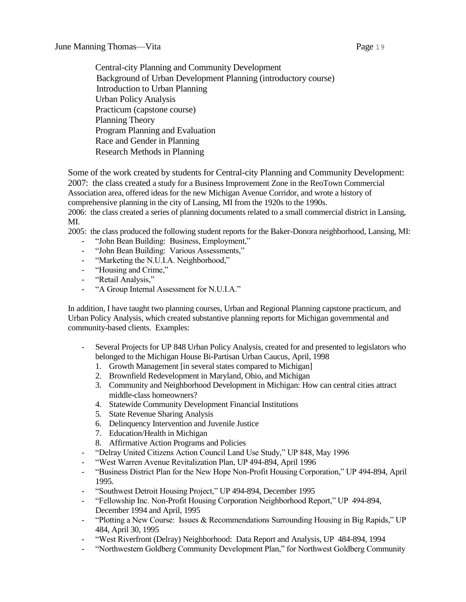Central-city Planning and Community Development Background of Urban Development Planning (introductory course) Introduction to Urban Planning Urban Policy Analysis Practicum (capstone course) Planning Theory Program Planning and Evaluation Race and Gender in Planning Research Methods in Planning

Some of the work created by students for Central-city Planning and Community Development: 2007: the class created a study for a Business Improvement Zone in the ReoTown Commercial Association area, offered ideas for the new Michigan Avenue Corridor, and wrote a history of comprehensive planning in the city of Lansing, MI from the 1920s to the 1990s.

2006: the class created a series of planning documents related to a small commercial district in Lansing, MI.

2005: the class produced the following student reports for the Baker-Donora neighborhood, Lansing, MI:

- "John Bean Building: Business, Employment,"
- "John Bean Building: Various Assessments,"
- "Marketing the N.U.I.A. Neighborhood,"
- "Housing and Crime,"
- "Retail Analysis,"
- "A Group Internal Assessment for N.U.I.A."

In addition, I have taught two planning courses, Urban and Regional Planning capstone practicum, and Urban Policy Analysis, which created substantive planning reports for Michigan governmental and community-based clients. Examples:

- Several Projects for UP 848 Urban Policy Analysis, created for and presented to legislators who belonged to the Michigan House Bi-Partisan Urban Caucus, April, 1998
	- 1. Growth Management [in several states compared to Michigan]
	- 2. Brownfield Redevelopment in Maryland, Ohio, and Michigan
	- 3. Community and Neighborhood Development in Michigan: How can central cities attract middle-class homeowners?
	- 4. Statewide Community Development Financial Institutions
	- 5. State Revenue Sharing Analysis
	- 6. Delinquency Intervention and Juvenile Justice
	- 7. Education/Health in Michigan
	- 8. Affirmative Action Programs and Policies
- "Delray United Citizens Action Council Land Use Study," UP 848, May 1996
- "West Warren Avenue Revitalization Plan, UP 494-894, April 1996
- "Business District Plan for the New Hope Non-Profit Housing Corporation," UP 494-894, April 1995.
- "Southwest Detroit Housing Project," UP 494-894, December 1995
- "Fellowship Inc. Non-Profit Housing Corporation Neighborhood Report," UP 494-894, December 1994 and April, 1995
- "Plotting a New Course: Issues & Recommendations Surrounding Housing in Big Rapids," UP 484, April 30, 1995
- "West Riverfront (Delray) Neighborhood: Data Report and Analysis, UP 484-894, 1994
- "Northwestern Goldberg Community Development Plan," for Northwest Goldberg Community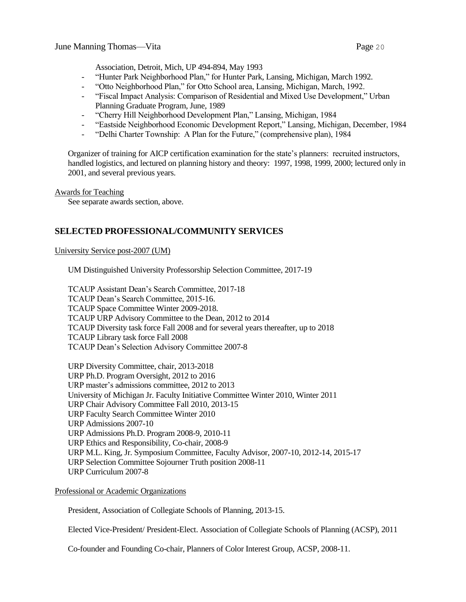Association, Detroit, Mich, UP 494-894, May 1993

- "Hunter Park Neighborhood Plan," for Hunter Park, Lansing, Michigan, March 1992.
- "Otto Neighborhood Plan," for Otto School area, Lansing, Michigan, March, 1992.
- "Fiscal Impact Analysis: Comparison of Residential and Mixed Use Development," Urban Planning Graduate Program, June, 1989
- "Cherry Hill Neighborhood Development Plan," Lansing, Michigan, 1984
- "Eastside Neighborhood Economic Development Report," Lansing, Michigan, December, 1984
- "Delhi Charter Township: A Plan for the Future," (comprehensive plan), 1984

Organizer of training for AICP certification examination for the state's planners: recruited instructors, handled logistics, and lectured on planning history and theory: 1997, 1998, 1999, 2000; lectured only in 2001, and several previous years.

Awards for Teaching

See separate awards section, above.

## **SELECTED PROFESSIONAL/COMMUNITY SERVICES**

#### University Service post-2007 (UM)

UM Distinguished University Professorship Selection Committee, 2017-19

TCAUP Assistant Dean's Search Committee, 2017-18 TCAUP Dean's Search Committee, 2015-16. TCAUP Space Committee Winter 2009-2018. TCAUP URP Advisory Committee to the Dean, 2012 to 2014 TCAUP Diversity task force Fall 2008 and for several years thereafter, up to 2018 TCAUP Library task force Fall 2008 TCAUP Dean's Selection Advisory Committee 2007-8

URP Diversity Committee, chair, 2013-2018 URP Ph.D. Program Oversight, 2012 to 2016 URP master's admissions committee, 2012 to 2013 University of Michigan Jr. Faculty Initiative Committee Winter 2010, Winter 2011 URP Chair Advisory Committee Fall 2010, 2013-15 URP Faculty Search Committee Winter 2010 URP Admissions 2007-10 URP Admissions Ph.D. Program 2008-9, 2010-11 URP Ethics and Responsibility, Co-chair, 2008-9 URP M.L. King, Jr. Symposium Committee, Faculty Advisor, 2007-10, 2012-14, 2015-17 URP Selection Committee Sojourner Truth position 2008-11 URP Curriculum 2007-8

Professional or Academic Organizations

President, Association of Collegiate Schools of Planning, 2013-15.

Elected Vice-President/ President-Elect. Association of Collegiate Schools of Planning (ACSP), 2011

Co-founder and Founding Co-chair, Planners of Color Interest Group, ACSP, 2008-11.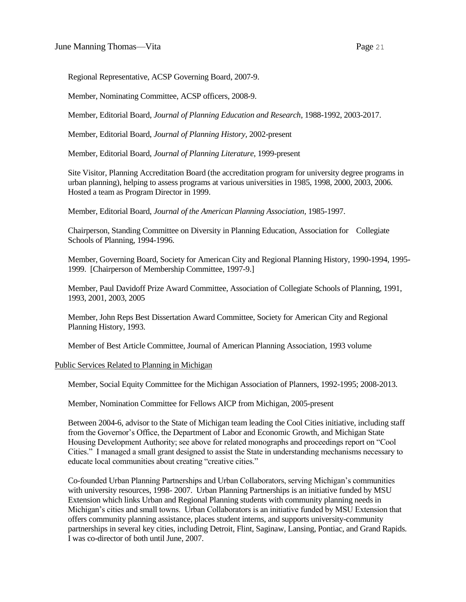Regional Representative, ACSP Governing Board, 2007-9.

Member, Nominating Committee, ACSP officers, 2008-9.

Member, Editorial Board, *Journal of Planning Education and Research*, 1988-1992, 2003-2017.

Member, Editorial Board, *Journal of Planning History,* 2002-present

Member, Editorial Board, *Journal of Planning Literature,* 1999-present

Site Visitor, Planning Accreditation Board (the accreditation program for university degree programs in urban planning), helping to assess programs at various universities in 1985, 1998, 2000, 2003, 2006. Hosted a team as Program Director in 1999.

Member, Editorial Board, *Journal of the American Planning Association,* 1985-1997.

Chairperson, Standing Committee on Diversity in Planning Education, Association for Collegiate Schools of Planning, 1994-1996.

Member, Governing Board, Society for American City and Regional Planning History, 1990-1994, 1995- 1999. [Chairperson of Membership Committee, 1997-9.]

Member, Paul Davidoff Prize Award Committee, Association of Collegiate Schools of Planning, 1991, 1993, 2001, 2003, 2005

Member, John Reps Best Dissertation Award Committee, Society for American City and Regional Planning History, 1993.

Member of Best Article Committee, Journal of American Planning Association, 1993 volume

#### Public Services Related to Planning in Michigan

Member, Social Equity Committee for the Michigan Association of Planners, 1992-1995; 2008-2013.

Member, Nomination Committee for Fellows AICP from Michigan, 2005-present

Between 2004-6, advisor to the State of Michigan team leading the Cool Cities initiative, including staff from the Governor's Office, the Department of Labor and Economic Growth, and Michigan State Housing Development Authority; see above for related monographs and proceedings report on "Cool Cities." I managed a small grant designed to assist the State in understanding mechanisms necessary to educate local communities about creating "creative cities."

Co-founded Urban Planning Partnerships and Urban Collaborators, serving Michigan's communities with university resources, 1998- 2007. Urban Planning Partnerships is an initiative funded by MSU Extension which links Urban and Regional Planning students with community planning needs in Michigan's cities and small towns. Urban Collaborators is an initiative funded by MSU Extension that offers community planning assistance, places student interns, and supports university-community partnerships in several key cities, including Detroit, Flint, Saginaw, Lansing, Pontiac, and Grand Rapids. I was co-director of both until June, 2007.